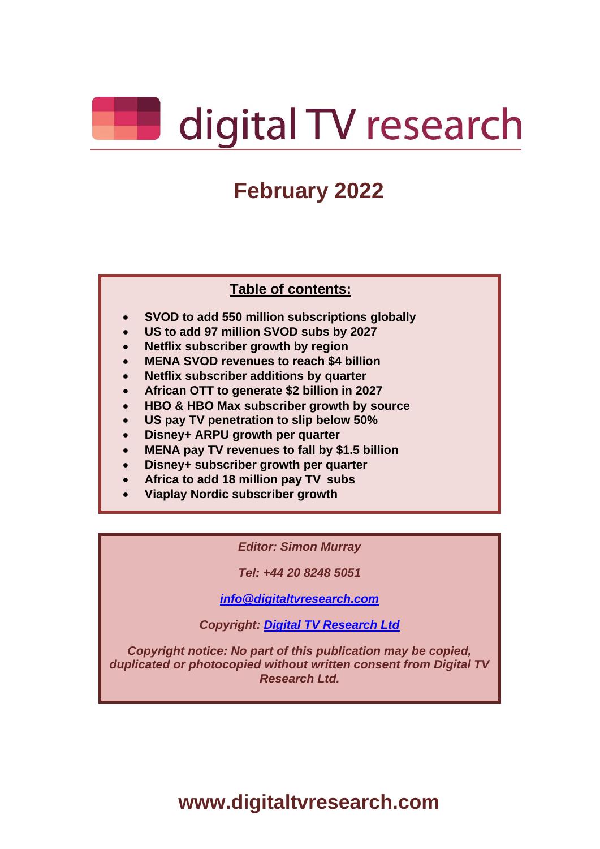

# **February 2022**

#### **Table of contents:**

- **SVOD to add 550 million subscriptions globally**
- **US to add 97 million SVOD subs by 2027**
- **Netflix subscriber growth by region**
- **MENA SVOD revenues to reach \$4 billion**
- **Netflix subscriber additions by quarter**
- **African OTT to generate \$2 billion in 2027**
- **HBO & HBO Max subscriber growth by source**
- **US pay TV penetration to slip below 50%**
- **Disney+ ARPU growth per quarter**
- **MENA pay TV revenues to fall by \$1.5 billion**
- **Disney+ subscriber growth per quarter**
- **Africa to add 18 million pay TV subs**
- **Viaplay Nordic subscriber growth**

#### *Editor: Simon Murray*

*Tel: +44 20 8248 5051*

*[info@digitaltvresearch.com](mailto:%09info@digitaltvresearch.com)*

*Copyright: [Digital TV Research Ltd](http://www.digitaltvresearch.com/)*

*Copyright notice: No part of this publication may be copied, duplicated or photocopied without written consent from Digital TV Research Ltd.*

**www.digitaltvresearch.com**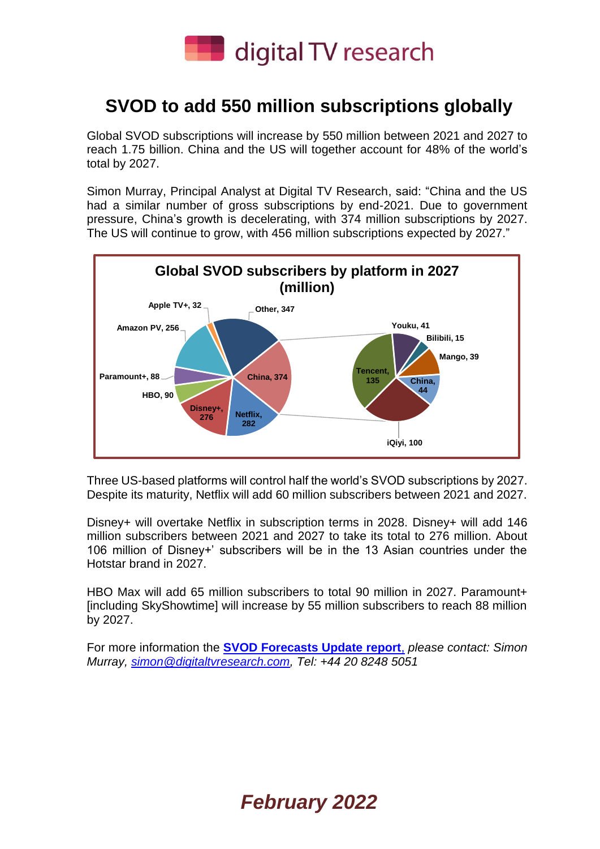

#### **SVOD to add 550 million subscriptions globally**

Global SVOD subscriptions will increase by 550 million between 2021 and 2027 to reach 1.75 billion. China and the US will together account for 48% of the world's total by 2027.

Simon Murray, Principal Analyst at Digital TV Research, said: "China and the US had a similar number of gross subscriptions by end-2021. Due to government pressure, China's growth is decelerating, with 374 million subscriptions by 2027. The US will continue to grow, with 456 million subscriptions expected by 2027."



Three US-based platforms will control half the world's SVOD subscriptions by 2027. Despite its maturity, Netflix will add 60 million subscribers between 2021 and 2027.

Disney+ will overtake Netflix in subscription terms in 2028. Disney+ will add 146 million subscribers between 2021 and 2027 to take its total to 276 million. About 106 million of Disney+' subscribers will be in the 13 Asian countries under the Hotstar brand in 2027.

HBO Max will add 65 million subscribers to total 90 million in 2027. Paramount+ [including SkyShowtime] will increase by 55 million subscribers to reach 88 million by 2027.

For more information the **[SVOD Forecasts Update report](https://digitaltvresearch.com/product/svod-forecasts-update/)**, *please contact: Simon Murray, [simon@digitaltvresearch.com,](mailto:simon@digitaltvresearch.com) Tel: +44 20 8248 5051*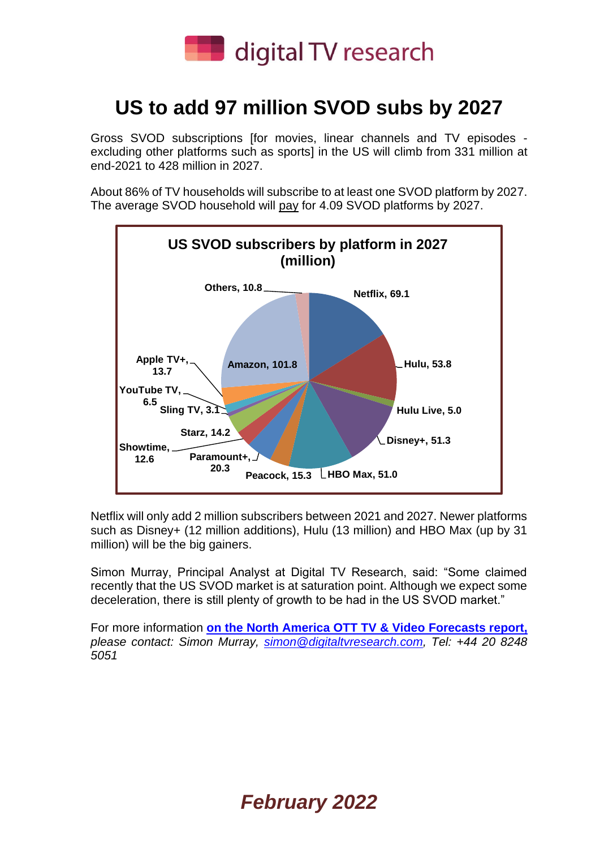

## **US to add 97 million SVOD subs by 2027**

Gross SVOD subscriptions [for movies, linear channels and TV episodes excluding other platforms such as sports] in the US will climb from 331 million at end-2021 to 428 million in 2027.

About 86% of TV households will subscribe to at least one SVOD platform by 2027. The average SVOD household will pay for 4.09 SVOD platforms by 2027.



Netflix will only add 2 million subscribers between 2021 and 2027. Newer platforms such as Disney+ (12 million additions), Hulu (13 million) and HBO Max (up by 31 million) will be the big gainers.

Simon Murray, Principal Analyst at Digital TV Research, said: "Some claimed recently that the US SVOD market is at saturation point. Although we expect some deceleration, there is still plenty of growth to be had in the US SVOD market."

For more information **[on the North America OTT TV & Video](https://digitaltvresearch.com/product/north-america-ott-tv-and-video-forecasts/) Forecasts report,** *please contact: Simon Murray, [simon@digitaltvresearch.com,](mailto:simon@digitaltvresearch.com) Tel: +44 20 8248 5051*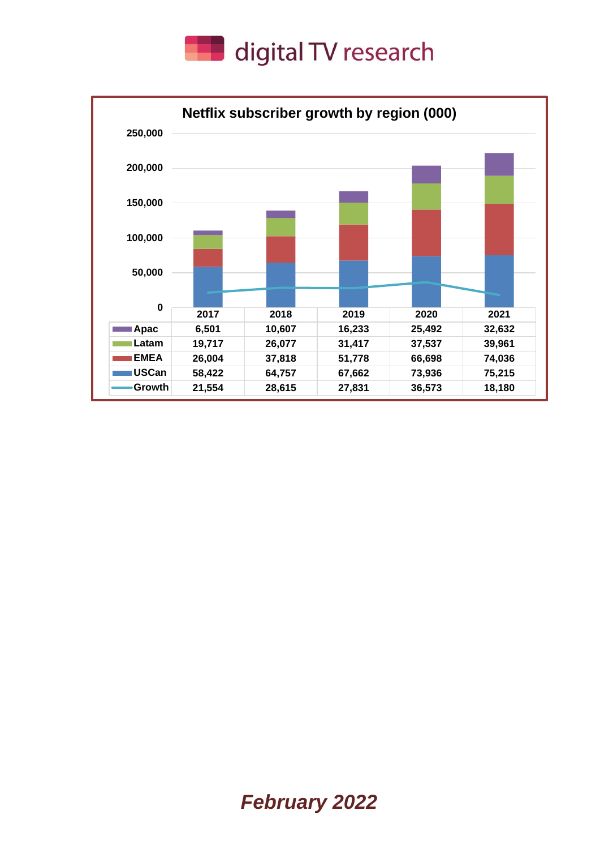

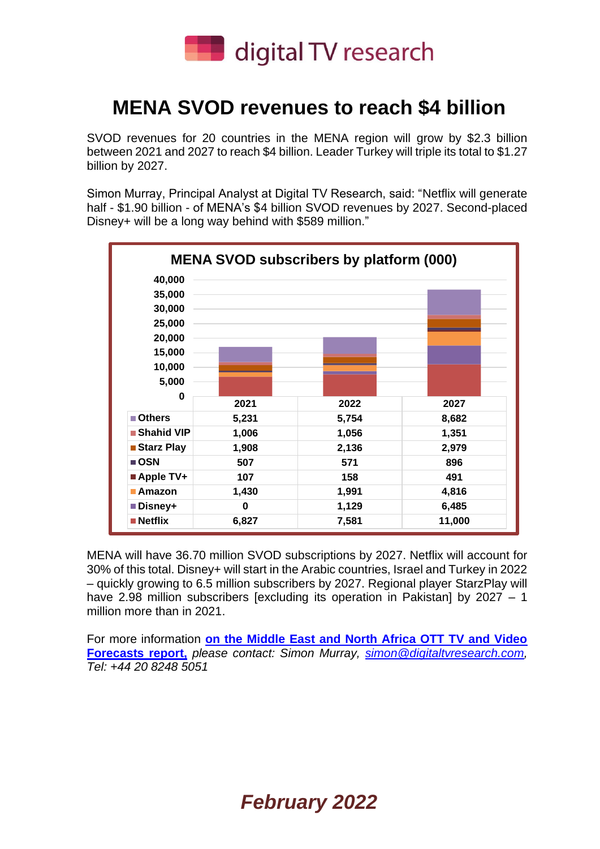

### **MENA SVOD revenues to reach \$4 billion**

SVOD revenues for 20 countries in the MENA region will grow by \$2.3 billion between 2021 and 2027 to reach \$4 billion. Leader Turkey will triple its total to \$1.27 billion by 2027.

Simon Murray, Principal Analyst at Digital TV Research, said: "Netflix will generate half - \$1.90 billion - of MENA's \$4 billion SVOD revenues by 2027. Second-placed Disney+ will be a long way behind with \$589 million."



MENA will have 36.70 million SVOD subscriptions by 2027. Netflix will account for 30% of this total. Disney+ will start in the Arabic countries, Israel and Turkey in 2022 – quickly growing to 6.5 million subscribers by 2027. Regional player StarzPlay will have 2.98 million subscribers [excluding its operation in Pakistan] by 2027 - 1 million more than in 2021.

For more information **[on the Middle East and North Africa OTT TV and Video](https://digitaltvresearch.com/product/middle-east-and-north-africa-ott-tv-and-video-forecasts/)  [Forecasts report,](https://digitaltvresearch.com/product/middle-east-and-north-africa-ott-tv-and-video-forecasts/)** *please contact: Simon Murray, [simon@digitaltvresearch.com,](mailto:simon@digitaltvresearch.com) Tel: +44 20 8248 5051*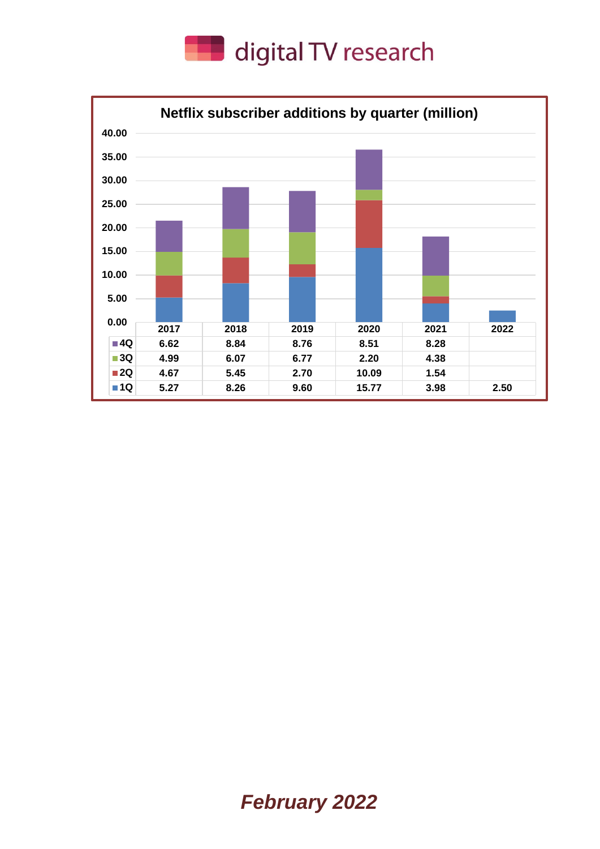

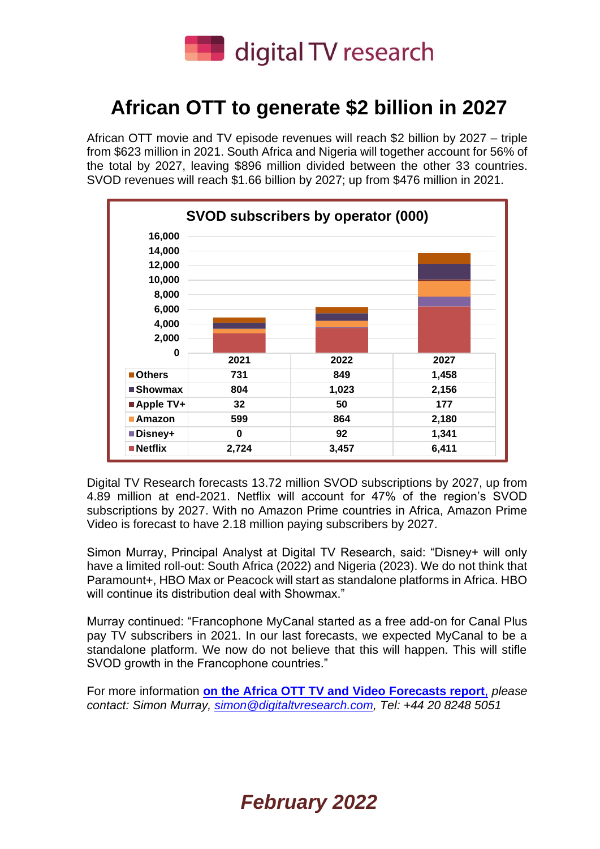

## **African OTT to generate \$2 billion in 2027**

African OTT movie and TV episode revenues will reach \$2 billion by 2027 – triple from \$623 million in 2021. South Africa and Nigeria will together account for 56% of the total by 2027, leaving \$896 million divided between the other 33 countries. SVOD revenues will reach \$1.66 billion by 2027; up from \$476 million in 2021.



Digital TV Research forecasts 13.72 million SVOD subscriptions by 2027, up from 4.89 million at end-2021. Netflix will account for 47% of the region's SVOD subscriptions by 2027. With no Amazon Prime countries in Africa, Amazon Prime Video is forecast to have 2.18 million paying subscribers by 2027.

Simon Murray, Principal Analyst at Digital TV Research, said: "Disney+ will only have a limited roll-out: South Africa (2022) and Nigeria (2023). We do not think that Paramount+, HBO Max or Peacock will start as standalone platforms in Africa. HBO will continue its distribution deal with Showmax."

Murray continued: "Francophone MyCanal started as a free add-on for Canal Plus pay TV subscribers in 2021. In our last forecasts, we expected MyCanal to be a standalone platform. We now do not believe that this will happen. This will stifle SVOD growth in the Francophone countries."

For more information **[on the Africa OTT TV and Video Forecasts report](https://digitaltvresearch.com/product/africa-ott-tv-and-video-forecasts/)**, *please contact: Simon Murray, [simon@digitaltvresearch.com,](mailto:simon@digitaltvresearch.com) Tel: +44 20 8248 5051*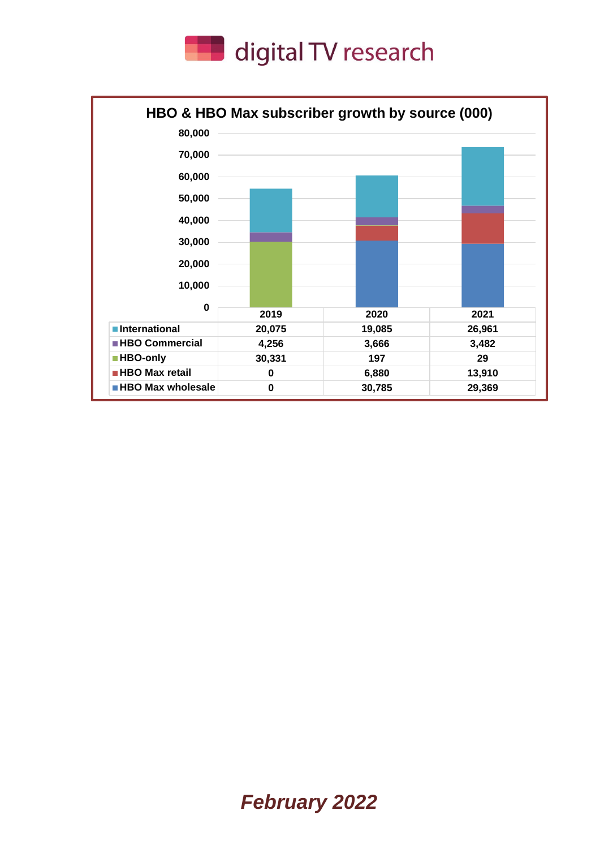

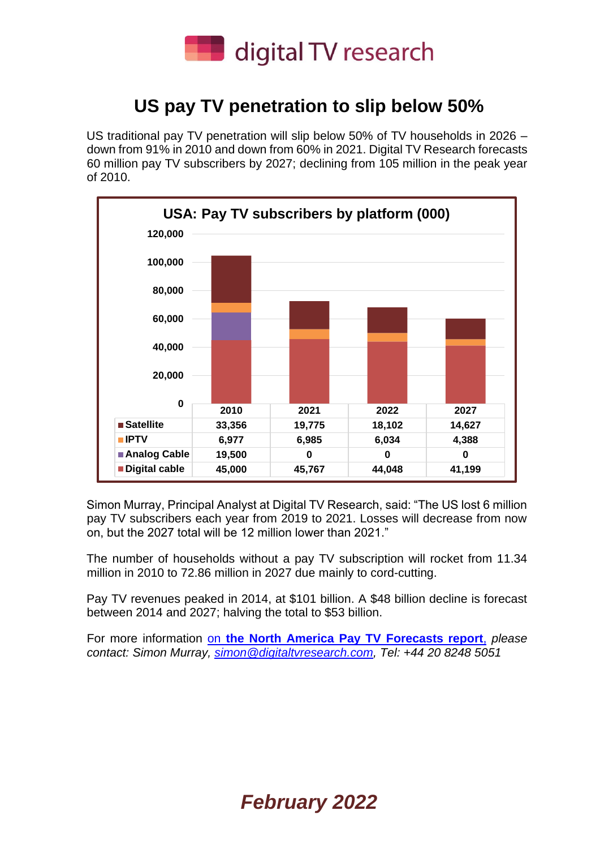

#### **US pay TV penetration to slip below 50%**

US traditional pay TV penetration will slip below 50% of TV households in 2026 – down from 91% in 2010 and down from 60% in 2021. Digital TV Research forecasts 60 million pay TV subscribers by 2027; declining from 105 million in the peak year of 2010.



Simon Murray, Principal Analyst at Digital TV Research, said: "The US lost 6 million pay TV subscribers each year from 2019 to 2021. Losses will decrease from now on, but the 2027 total will be 12 million lower than 2021."

The number of households without a pay TV subscription will rocket from 11.34 million in 2010 to 72.86 million in 2027 due mainly to cord-cutting.

Pay TV revenues peaked in 2014, at \$101 billion. A \$48 billion decline is forecast between 2014 and 2027; halving the total to \$53 billion.

For more information on **[the North America Pay TV](https://digitaltvresearch.com/product/north-america-pay-tv-forecasts/) Forecasts report**, *please contact: Simon Murray, [simon@digitaltvresearch.com,](mailto:simon@digitaltvresearch.com) Tel: +44 20 8248 5051*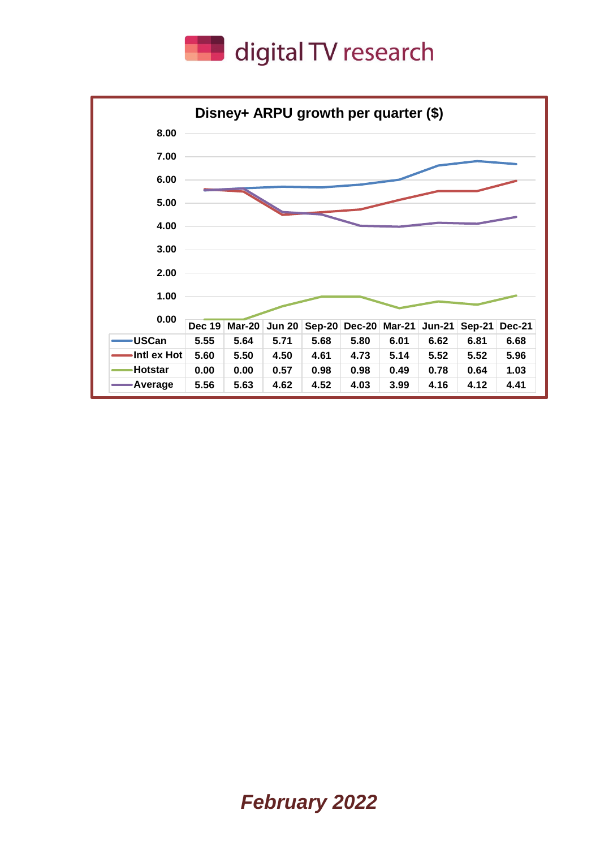

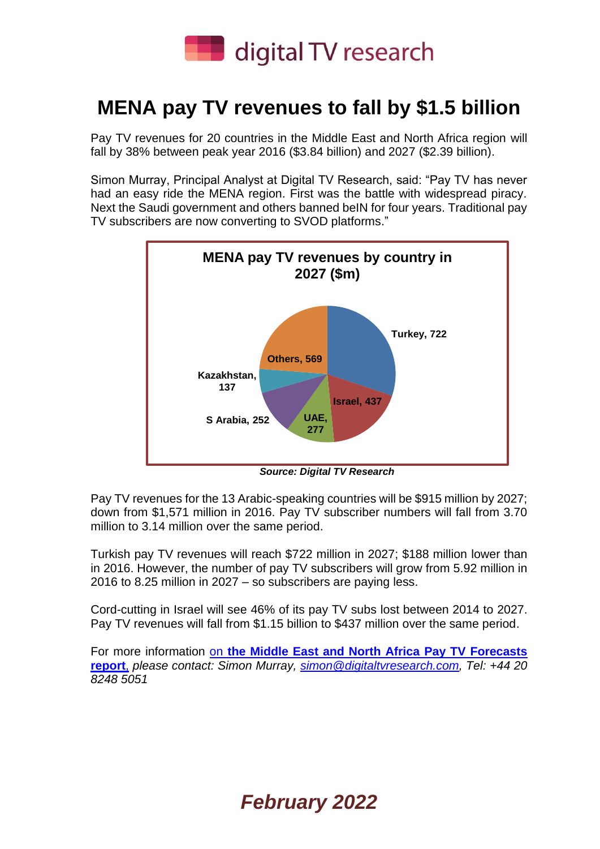

## **MENA pay TV revenues to fall by \$1.5 billion**

Pay TV revenues for 20 countries in the Middle East and North Africa region will fall by 38% between peak year 2016 (\$3.84 billion) and 2027 (\$2.39 billion).

Simon Murray, Principal Analyst at Digital TV Research, said: "Pay TV has never had an easy ride the MENA region. First was the battle with widespread piracy. Next the Saudi government and others banned beIN for four years. Traditional pay TV subscribers are now converting to SVOD platforms."



*Source: Digital TV Research*

Pay TV revenues for the 13 Arabic-speaking countries will be \$915 million by 2027; down from \$1,571 million in 2016. Pay TV subscriber numbers will fall from 3.70 million to 3.14 million over the same period.

Turkish pay TV revenues will reach \$722 million in 2027; \$188 million lower than in 2016. However, the number of pay TV subscribers will grow from 5.92 million in 2016 to 8.25 million in 2027 – so subscribers are paying less.

Cord-cutting in Israel will see 46% of its pay TV subs lost between 2014 to 2027. Pay TV revenues will fall from \$1.15 billion to \$437 million over the same period.

For more information on **[the Middle East and North Africa Pay TV Forecasts](https://digitaltvresearch.com/product/middle-east-and-north-africa-pay-tv-forecasts/)  [report](https://digitaltvresearch.com/product/middle-east-and-north-africa-pay-tv-forecasts/)**, *please contact: Simon Murray, [simon@digitaltvresearch.com,](mailto:simon@digitaltvresearch.com) Tel: +44 20 8248 5051*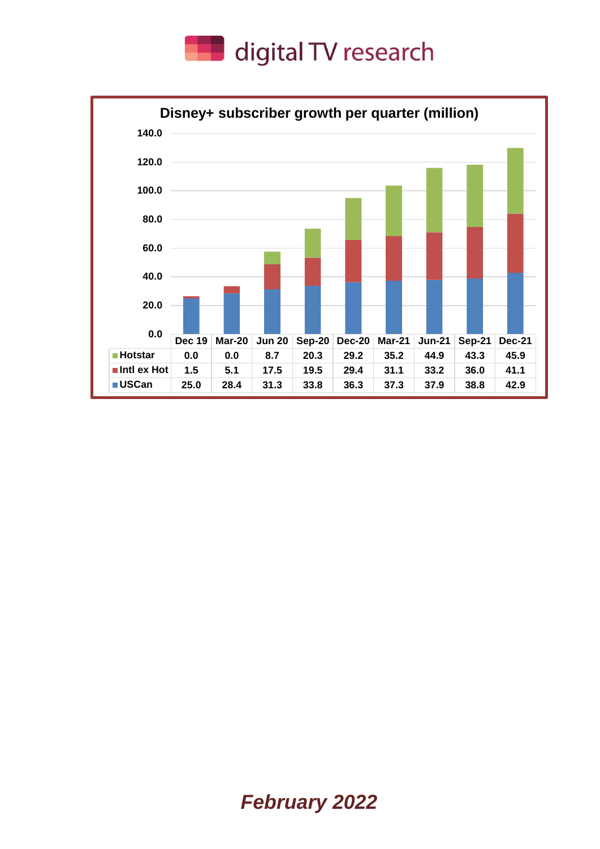

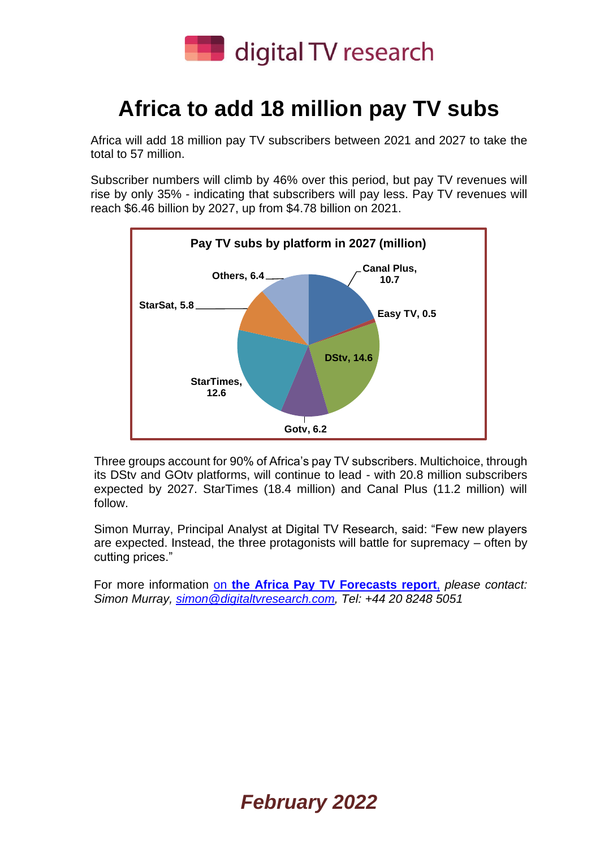

# **Africa to add 18 million pay TV subs**

Africa will add 18 million pay TV subscribers between 2021 and 2027 to take the total to 57 million.

Subscriber numbers will climb by 46% over this period, but pay TV revenues will rise by only 35% - indicating that subscribers will pay less. Pay TV revenues will reach \$6.46 billion by 2027, up from \$4.78 billion on 2021.



Three groups account for 90% of Africa's pay TV subscribers. Multichoice, through its DStv and GOtv platforms, will continue to lead - with 20.8 million subscribers expected by 2027. StarTimes (18.4 million) and Canal Plus (11.2 million) will follow.

Simon Murray, Principal Analyst at Digital TV Research, said: "Few new players are expected. Instead, the three protagonists will battle for supremacy – often by cutting prices."

For more information on **[the Africa Pay TV Forecasts report](https://digitaltvresearch.com/product/africa-pay-tv-forecasts/)**, *please contact: Simon Murray, [simon@digitaltvresearch.com,](mailto:simon@digitaltvresearch.com) Tel: +44 20 8248 5051*